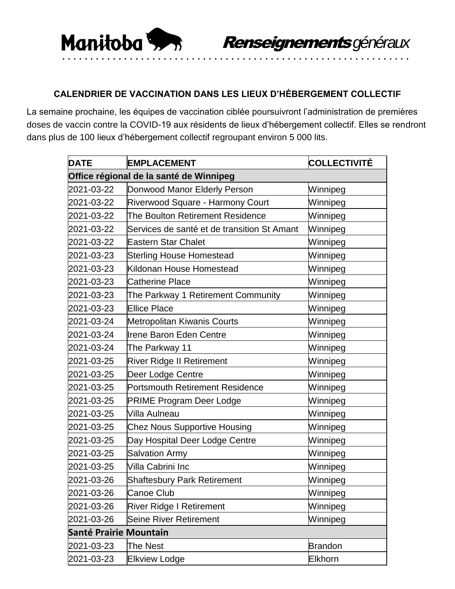

## **CALENDRIER DE VACCINATION DANS LES LIEUX D'HÉBERGEMENT COLLECTIF**

La semaine prochaine, les équipes de vaccination ciblée poursuivront l'administration de premières doses de vaccin contre la COVID-19 aux résidents de lieux d'hébergement collectif. Elles se rendront dans plus de 100 lieux d'hébergement collectif regroupant environ 5 000 lits.

| <b>DATE</b>                   | <b>EMPLACEMENT</b>                          | <b>COLLECTIVITÉ</b> |
|-------------------------------|---------------------------------------------|---------------------|
|                               | Office régional de la santé de Winnipeg     |                     |
| 2021-03-22                    | Donwood Manor Elderly Person                | Winnipeg            |
| 2021-03-22                    | Riverwood Square - Harmony Court            | Winnipeg            |
| 2021-03-22                    | The Boulton Retirement Residence            | Winnipeg            |
| 2021-03-22                    | Services de santé et de transition St Amant | Winnipeg            |
| 2021-03-22                    | <b>Eastern Star Chalet</b>                  | Winnipeg            |
| 2021-03-23                    | <b>Sterling House Homestead</b>             | Winnipeg            |
| 2021-03-23                    | Kildonan House Homestead                    | Winnipeg            |
| 2021-03-23                    | <b>Catherine Place</b>                      | Winnipeg            |
| 2021-03-23                    | The Parkway 1 Retirement Community          | Winnipeg            |
| 2021-03-23                    | <b>Ellice Place</b>                         | Winnipeg            |
| 2021-03-24                    | <b>Metropolitan Kiwanis Courts</b>          | Winnipeg            |
| 2021-03-24                    | Irene Baron Eden Centre                     | Winnipeg            |
| 2021-03-24                    | The Parkway 11                              | Winnipeg            |
| 2021-03-25                    | <b>River Ridge II Retirement</b>            | Winnipeg            |
| 2021-03-25                    | Deer Lodge Centre                           | Winnipeg            |
| 2021-03-25                    | <b>Portsmouth Retirement Residence</b>      | Winnipeg            |
| 2021-03-25                    | <b>PRIME Program Deer Lodge</b>             | Winnipeg            |
| 2021-03-25                    | Villa Aulneau                               | Winnipeg            |
| 2021-03-25                    | <b>Chez Nous Supportive Housing</b>         | Winnipeg            |
| 2021-03-25                    | Day Hospital Deer Lodge Centre              | Winnipeg            |
| 2021-03-25                    | <b>Salvation Army</b>                       | Winnipeg            |
| 2021-03-25                    | Villa Cabrini Inc                           | Winnipeg            |
| 2021-03-26                    | <b>Shaftesbury Park Retirement</b>          | Winnipeg            |
| 2021-03-26                    | Canoe Club                                  | Winnipeg            |
| 2021-03-26                    | River Ridge I Retirement                    | Winnipeg            |
| 2021-03-26                    | <b>Seine River Retirement</b>               | Winnipeg            |
| <b>Santé Prairie Mountain</b> |                                             |                     |
| 2021-03-23                    | The Nest                                    | <b>Brandon</b>      |
| 2021-03-23                    | Elkview Lodge                               | Elkhorn             |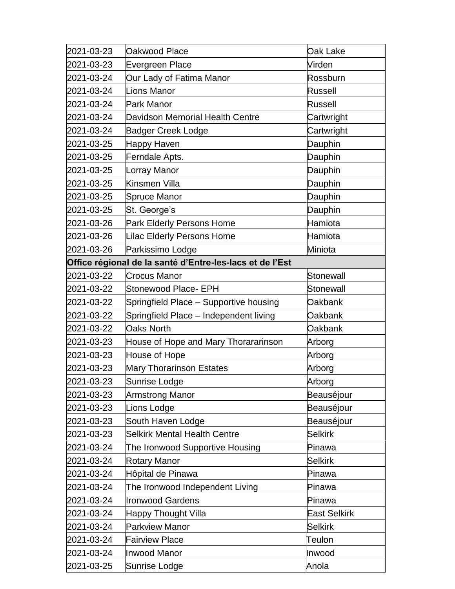| 2021-03-23 | Oakwood Place                                            | Oak Lake       |
|------------|----------------------------------------------------------|----------------|
| 2021-03-23 | <b>Evergreen Place</b>                                   | Virden         |
| 2021-03-24 | Our Lady of Fatima Manor                                 | Rossburn       |
| 2021-03-24 | Lions Manor                                              | <b>Russell</b> |
| 2021-03-24 | <b>Park Manor</b>                                        | <b>Russell</b> |
| 2021-03-24 | Davidson Memorial Health Centre                          | Cartwright     |
| 2021-03-24 | <b>Badger Creek Lodge</b>                                | Cartwright     |
| 2021-03-25 | Happy Haven                                              | Dauphin        |
| 2021-03-25 | Ferndale Apts.                                           | Dauphin        |
| 2021-03-25 | Lorray Manor                                             | Dauphin        |
| 2021-03-25 | Kinsmen Villa                                            | Dauphin        |
| 2021-03-25 | <b>Spruce Manor</b>                                      | Dauphin        |
| 2021-03-25 | St. George's                                             | Dauphin        |
| 2021-03-26 | Park Elderly Persons Home                                | Hamiota        |
| 2021-03-26 | <b>Lilac Elderly Persons Home</b>                        | Hamiota        |
| 2021-03-26 | Parkissimo Lodge                                         | Miniota        |
|            | Office régional de la santé d'Entre-les-lacs et de l'Est |                |
| 2021-03-22 | <b>Crocus Manor</b>                                      | Stonewall      |
| 2021-03-22 | <b>Stonewood Place- EPH</b>                              | Stonewall      |
| 2021-03-22 | Springfield Place - Supportive housing                   | Oakbank        |
| 2021-03-22 | Springfield Place - Independent living                   | Oakbank        |
| 2021-03-22 | <b>Oaks North</b>                                        | Oakbank        |
| 2021-03-23 | House of Hope and Mary Thorararinson                     | Arborg         |
| 2021-03-23 | House of Hope                                            | Arborg         |
| 2021-03-23 | <b>Mary Thorarinson Estates</b>                          | Arborg         |
| 2021-03-23 | Sunrise Lodge                                            | Arborg         |
| 2021-03-23 | <b>Armstrong Manor</b>                                   | Beauséjour     |
| 2021-03-23 | Lions Lodge                                              | Beauséjour     |
| 2021-03-23 | South Haven Lodge                                        | Beauséjour     |
| 2021-03-23 | <b>Selkirk Mental Health Centre</b>                      | Selkirk        |
| 2021-03-24 | The Ironwood Supportive Housing                          | Pinawa         |
| 2021-03-24 | <b>Rotary Manor</b>                                      | <b>Selkirk</b> |
| 2021-03-24 | Hôpital de Pinawa                                        | Pinawa         |
| 2021-03-24 | The Ironwood Independent Living                          | Pinawa         |
| 2021-03-24 | <b>Ironwood Gardens</b>                                  | Pinawa         |
| 2021-03-24 | Happy Thought Villa                                      | East Selkirk   |
| 2021-03-24 | <b>Parkview Manor</b>                                    | Selkirk        |
| 2021-03-24 | <b>Fairview Place</b>                                    | Teulon         |
| 2021-03-24 | <b>Inwood Manor</b>                                      | Inwood         |
| 2021-03-25 | Sunrise Lodge                                            | Anola          |